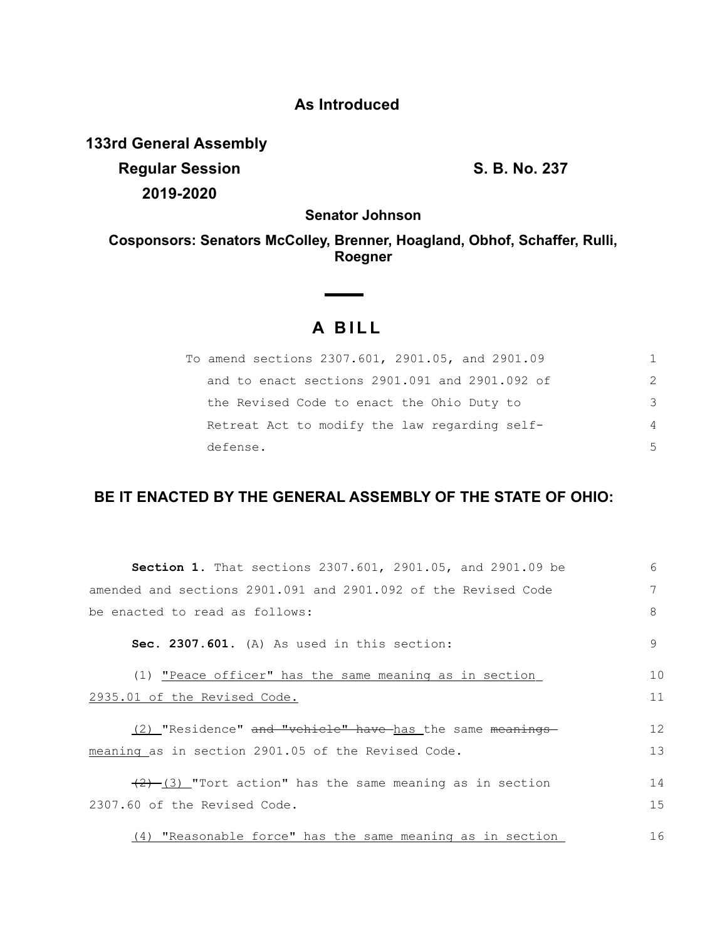# **As Introduced**

**133rd General Assembly**

**Regular Session S. B. No. 237 2019-2020**

**Senator Johnson**

**Cosponsors: Senators McColley, Brenner, Hoagland, Obhof, Schaffer, Rulli, Roegner**

# **A B I L L**

| To amend sections 2307.601, 2901.05, and 2901.09 | 1.            |
|--------------------------------------------------|---------------|
| and to enact sections 2901.091 and 2901.092 of   | $\mathcal{P}$ |
| the Revised Code to enact the Ohio Duty to       | 3             |
| Retreat Act to modify the law regarding self-    | 4             |
| defense.                                         | 5             |

## **BE IT ENACTED BY THE GENERAL ASSEMBLY OF THE STATE OF OHIO:**

| <b>Section 1.</b> That sections 2307.601, 2901.05, and 2901.09 be  | 6  |
|--------------------------------------------------------------------|----|
| amended and sections 2901.091 and 2901.092 of the Revised Code     | 7  |
| be enacted to read as follows:                                     | 8  |
| Sec. 2307.601. (A) As used in this section:                        | 9  |
| (1) "Peace officer" has the same meaning as in section             | 10 |
| 2935.01 of the Revised Code.                                       | 11 |
|                                                                    |    |
| (2) "Residence" and "vehicle" have has the same meanings           | 12 |
| meaning as in section 2901.05 of the Revised Code.                 | 13 |
|                                                                    |    |
| $\frac{1}{2}$ (3) "Tort action" has the same meaning as in section | 14 |
| 2307.60 of the Revised Code.                                       | 15 |
|                                                                    |    |
| (4) "Reasonable force" has the same meaning as in section          | 16 |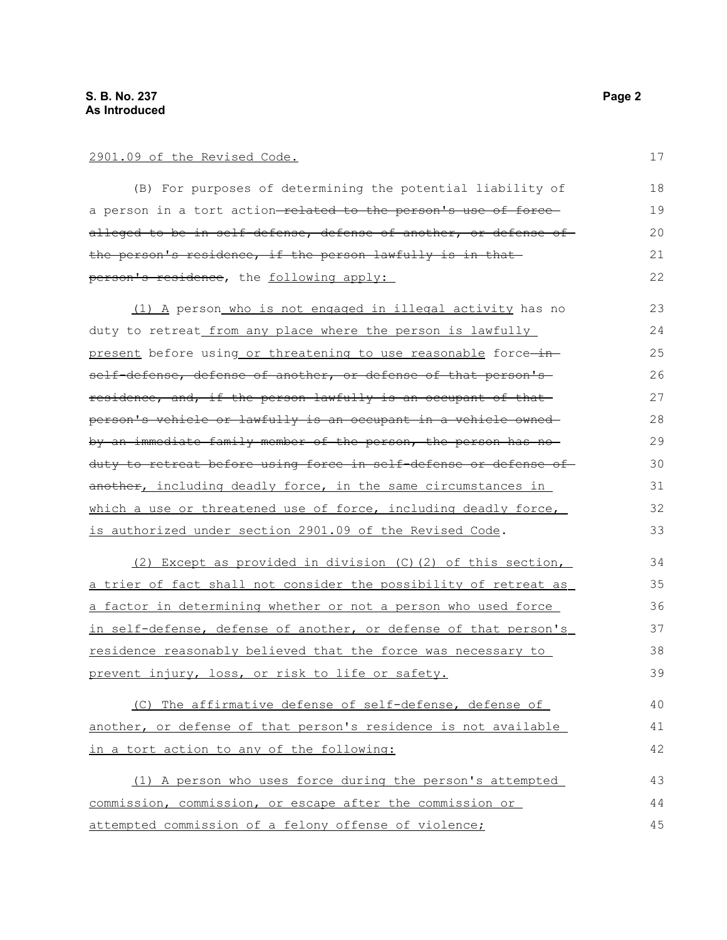### 2901.09 of the Revised Code.

(B) For purposes of determining the potential liability of a person in a tort action-related to the person's use of forcealleged to be in self-defense, defense of another, or defense of the person's residence, if the person lawfully is in that person's residence, the following apply: 18 19 20 21 22

 (1)A person who is not engaged in illegal activity has no duty to retreat from any place where the person is lawfully present before using or threatening to use reasonable force-inself-defense, defense of another, or defense of that person'sresidence, and, if the person lawfully is an occupant of that person's vehicle or lawfully is an occupant in a vehicle owned by an immediate family member of the person, the person has no duty to retreat before using force in self-defense or defense of another, including deadly force, in the same circumstances in which a use or threatened use of force, including deadly force, is authorized under section 2901.09 of the Revised Code. 23 24 25 26 27 28 29 30 31 32 33

 (2) Except as provided in division (C)(2) of this section, a trier of fact shall not consider the possibility of retreat as a factor in determining whether or not a person who used force in self-defense, defense of another, or defense of that person's residence reasonably believed that the force was necessary to prevent injury, loss, or risk to life or safety. 34 35 36 37 38 39

 (C) The affirmative defense of self-defense, defense of another, or defense of that person's residence is not available in a tort action to any of the following: 40 41 42

 (1) A person who uses force during the person's attempted commission, commission, or escape after the commission or attempted commission of a felony offense of violence; 43 44 45

17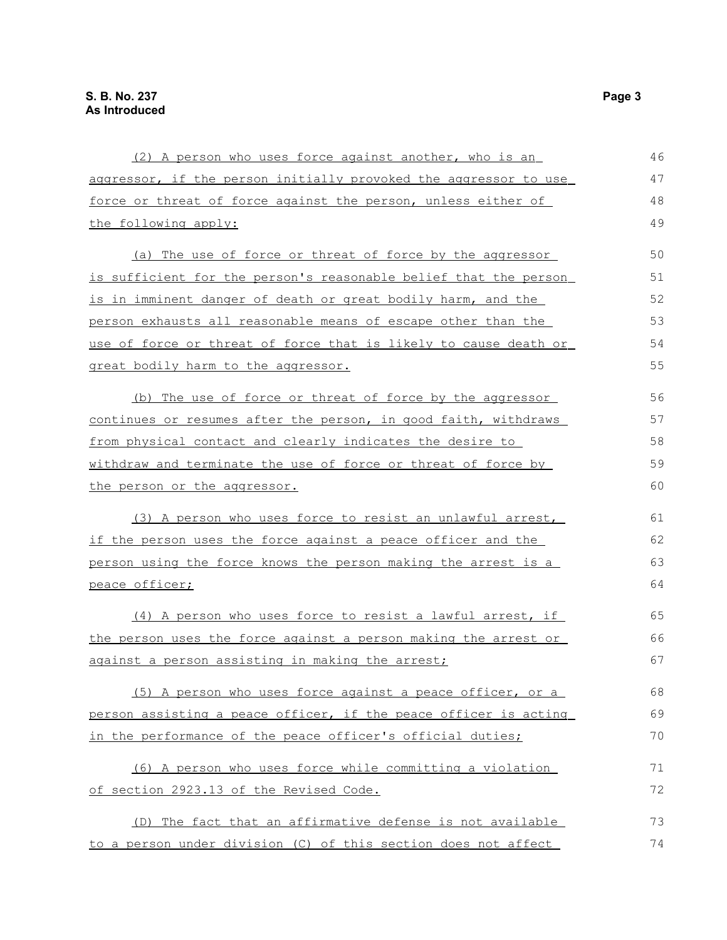| (2) A person who uses force against another, who is an           | 46 |
|------------------------------------------------------------------|----|
| aggressor, if the person initially provoked the aggressor to use | 47 |
| force or threat of force against the person, unless either of    | 48 |
| the following apply:                                             | 49 |
| (a) The use of force or threat of force by the aggressor         | 50 |
| is sufficient for the person's reasonable belief that the person | 51 |
| is in imminent danger of death or great bodily harm, and the     | 52 |
| person exhausts all reasonable means of escape other than the    | 53 |
| use of force or threat of force that is likely to cause death or | 54 |
| great bodily harm to the aggressor.                              | 55 |
| (b) The use of force or threat of force by the aggressor         | 56 |
| continues or resumes after the person, in good faith, withdraws  | 57 |
| from physical contact and clearly indicates the desire to        | 58 |
| withdraw and terminate the use of force or threat of force by    | 59 |
| the person or the aggressor.                                     | 60 |
| (3) A person who uses force to resist an unlawful arrest,        | 61 |
| if the person uses the force against a peace officer and the     | 62 |
| person using the force knows the person making the arrest is a   | 63 |
| peace officer;                                                   | 64 |
| (4) A person who uses force to resist a lawful arrest, if        | 65 |
| the person uses the force against a person making the arrest or  | 66 |
| against a person assisting in making the arrest;                 | 67 |
| (5) A person who uses force against a peace officer, or a        | 68 |
| person assisting a peace officer, if the peace officer is acting | 69 |
| in the performance of the peace officer's official duties;       | 70 |
| (6) A person who uses force while committing a violation         | 71 |
| of section 2923.13 of the Revised Code.                          | 72 |
| (D) The fact that an affirmative defense is not available        | 73 |
| to a person under division (C) of this section does not affect   | 74 |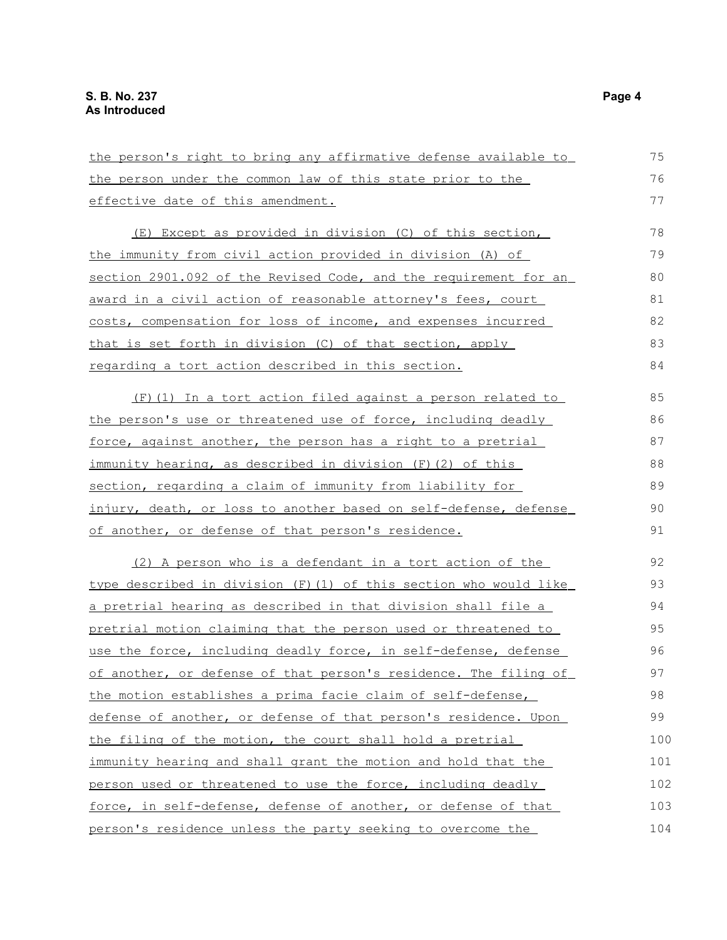| the person's right to bring any affirmative defense available to     | 75  |
|----------------------------------------------------------------------|-----|
| the person under the common law of this state prior to the           | 76  |
| effective date of this amendment.                                    | 77  |
|                                                                      |     |
| (E) Except as provided in division (C) of this section,              | 78  |
| the immunity from civil action provided in division (A) of           | 79  |
| section 2901.092 of the Revised Code, and the requirement for an     | 80  |
| award in a civil action of reasonable attorney's fees, court         | 81  |
| costs, compensation for loss of income, and expenses incurred        | 82  |
| that is set forth in division (C) of that section, apply             | 83  |
| regarding a tort action described in this section.                   | 84  |
| (F) (1) In a tort action filed against a person related to           | 85  |
| the person's use or threatened use of force, including deadly        | 86  |
| force, against another, the person has a right to a pretrial         | 87  |
| immunity hearing, as described in division (F) (2) of this           | 88  |
| section, regarding a claim of immunity from liability for            | 89  |
| injury, death, or loss to another based on self-defense, defense     | 90  |
| of another, or defense of that person's residence.                   | 91  |
| (2) A person who is a defendant in a tort action of the              | 92  |
| type described in division (F) (1) of this section who would like    | 93  |
| <u>a pretrial hearing as described in that division shall file a</u> | 94  |
| pretrial motion claiming that the person used or threatened to       | 95  |
| use the force, including deadly force, in self-defense, defense      | 96  |
| of another, or defense of that person's residence. The filing of     | 97  |
| the motion establishes a prima facie claim of self-defense,          | 98  |
| defense of another, or defense of that person's residence. Upon      | 99  |
| the filing of the motion, the court shall hold a pretrial            | 100 |
| immunity hearing and shall grant the motion and hold that the        | 101 |
| person used or threatened to use the force, including deadly         | 102 |
| force, in self-defense, defense of another, or defense of that       | 103 |
| person's residence unless the party seeking to overcome the          | 104 |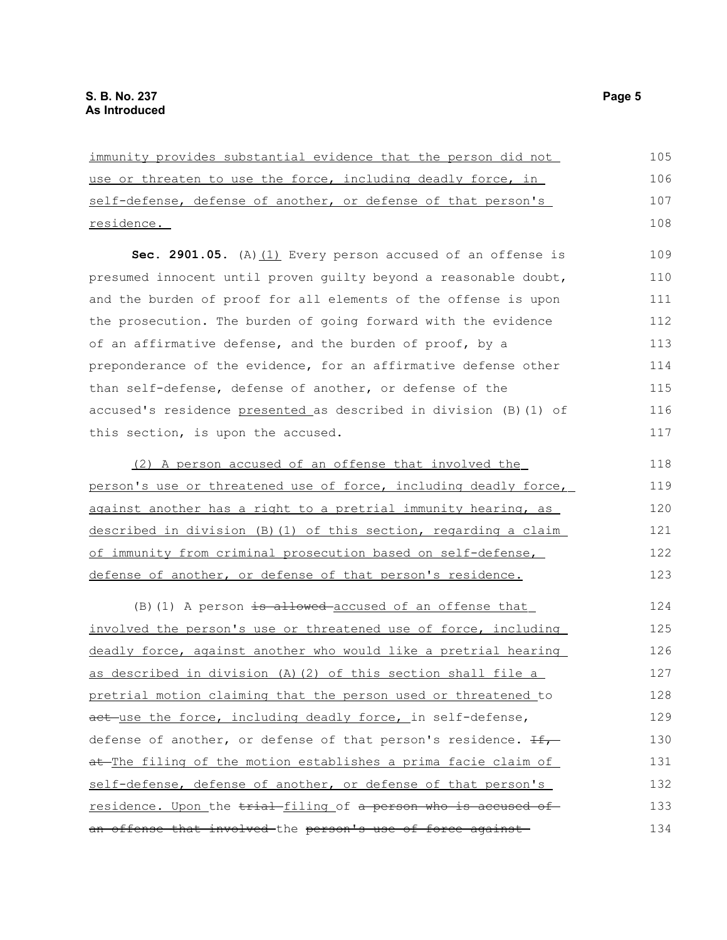| immunity provides substantial evidence that the person did not     | 105 |
|--------------------------------------------------------------------|-----|
| use or threaten to use the force, including deadly force, in       | 106 |
| self-defense, defense of another, or defense of that person's      | 107 |
| residence.                                                         | 108 |
| Sec. 2901.05. (A) (1) Every person accused of an offense is        | 109 |
| presumed innocent until proven guilty beyond a reasonable doubt,   | 110 |
| and the burden of proof for all elements of the offense is upon    | 111 |
| the prosecution. The burden of going forward with the evidence     | 112 |
| of an affirmative defense, and the burden of proof, by a           | 113 |
| preponderance of the evidence, for an affirmative defense other    | 114 |
| than self-defense, defense of another, or defense of the           | 115 |
| accused's residence presented as described in division (B) (1) of  | 116 |
| this section, is upon the accused.                                 | 117 |
|                                                                    |     |
| (2) A person accused of an offense that involved the               | 118 |
| person's use or threatened use of force, including deadly force,   | 119 |
| against another has a right to a pretrial immunity hearing, as     | 120 |
| described in division (B) (1) of this section, regarding a claim   | 121 |
| of immunity from criminal prosecution based on self-defense,       | 122 |
| defense of another, or defense of that person's residence.         | 123 |
| (B) (1) A person is allowed accused of an offense that             | 124 |
| involved the person's use or threatened use of force, including    | 125 |
| deadly force, against another who would like a pretrial hearing    | 126 |
| as described in division (A) (2) of this section shall file a      | 127 |
| pretrial motion claiming that the person used or threatened to     | 128 |
| act use the force, including deadly force, in self-defense,        | 129 |
| defense of another, or defense of that person's residence. $\pm f$ | 130 |
| at The filing of the motion establishes a prima facie claim of     | 131 |
| self-defense, defense of another, or defense of that person's      | 132 |
| residence. Upon the trial-filing of a person who is accused of     | 133 |
| an offense that involved the person's use of force against         | 134 |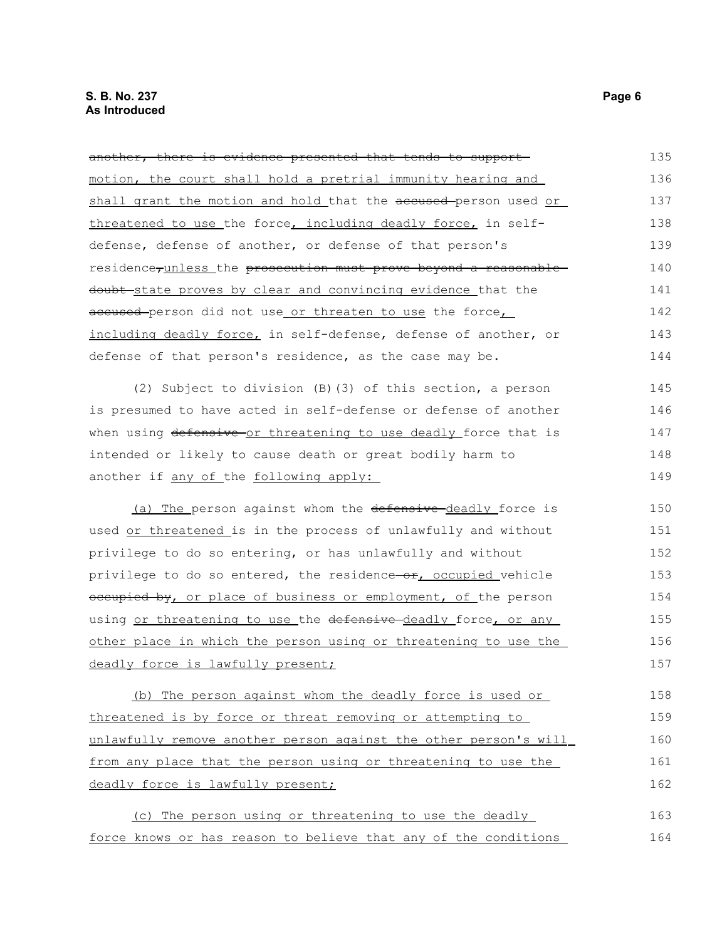another, there is evidence presented that tends to support motion, the court shall hold a pretrial immunity hearing and shall grant the motion and hold that the accused-person used or threatened to use the force, including deadly force, in selfdefense, defense of another, or defense of that person's residence<sub>runless</sub> the prosecution must prove beyond a reasonabledoubt state proves by clear and convincing evidence that the accused-person did not use\_or threaten to use the force, including deadly force, in self-defense, defense of another, or defense of that person's residence, as the case may be. (2) Subject to division (B)(3) of this section, a person is presumed to have acted in self-defense or defense of another when using defensive or threatening to use deadly force that is intended or likely to cause death or great bodily harm to another if any of the following apply: 135 136 137 138 139 140 141 142 143 144 145 146 147 148 149

(a) The person against whom the defensive deadly force is used or threatened is in the process of unlawfully and without privilege to do so entering, or has unlawfully and without privilege to do so entered, the residence-or, occupied vehicle occupied by, or place of business or employment, of the person using or threatening to use the defensive deadly force, or any other place in which the person using or threatening to use the deadly force is lawfully present; 150 151 152 153 154 155 156 157

 (b) The person against whom the deadly force is used or threatened is by force or threat removing or attempting to unlawfully remove another person against the other person's will from any place that the person using or threatening to use the deadly force is lawfully present; 158 159 160 161 162

 (c) The person using or threatening to use the deadly force knows or has reason to believe that any of the conditions 163 164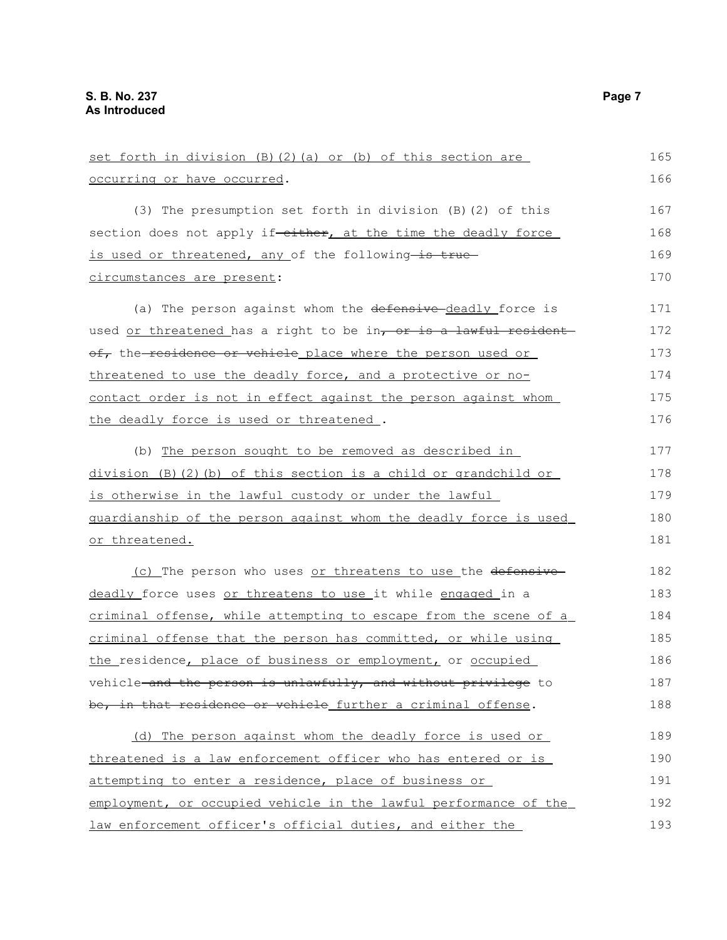| set forth in division (B) (2) (a) or (b) of this section are     | 165 |
|------------------------------------------------------------------|-----|
| occurring or have occurred.                                      | 166 |
| (3) The presumption set forth in division (B) (2) of this        | 167 |
| section does not apply if-either, at the time the deadly force   | 168 |
| is used or threatened, any of the following-is true-             | 169 |
| circumstances are present:                                       | 170 |
| (a) The person against whom the defensive-deadly force is        | 171 |
| used or threatened has a right to be in, or is a lawful resident | 172 |
| of, the residence or vehicle place where the person used or      | 173 |
| threatened to use the deadly force, and a protective or no-      | 174 |
| contact order is not in effect against the person against whom   | 175 |
| the deadly force is used or threatened.                          | 176 |
| (b) The person sought to be removed as described in              | 177 |
| division (B)(2)(b) of this section is a child or grandchild or   | 178 |
| is otherwise in the lawful custody or under the lawful           | 179 |
| guardianship of the person against whom the deadly force is used | 180 |
| or threatened.                                                   | 181 |
| (c) The person who uses or threatens to use the defensive        | 182 |
| deadly force uses or threatens to use it while engaged in a      | 183 |
| criminal offense, while attempting to escape from the scene of a | 184 |
| criminal offense that the person has committed, or while using   | 185 |
| the residence, place of business or employment, or occupied      | 186 |
| vehicle and the person is unlawfully, and without privilege to   | 187 |
| be, in that residence or vehicle further a criminal offense.     | 188 |
| (d) The person against whom the deadly force is used or          | 189 |
| threatened is a law enforcement officer who has entered or is    | 190 |
| attempting to enter a residence, place of business or            | 191 |
| employment, or occupied vehicle in the lawful performance of the | 192 |
| law enforcement officer's official duties, and either the        | 193 |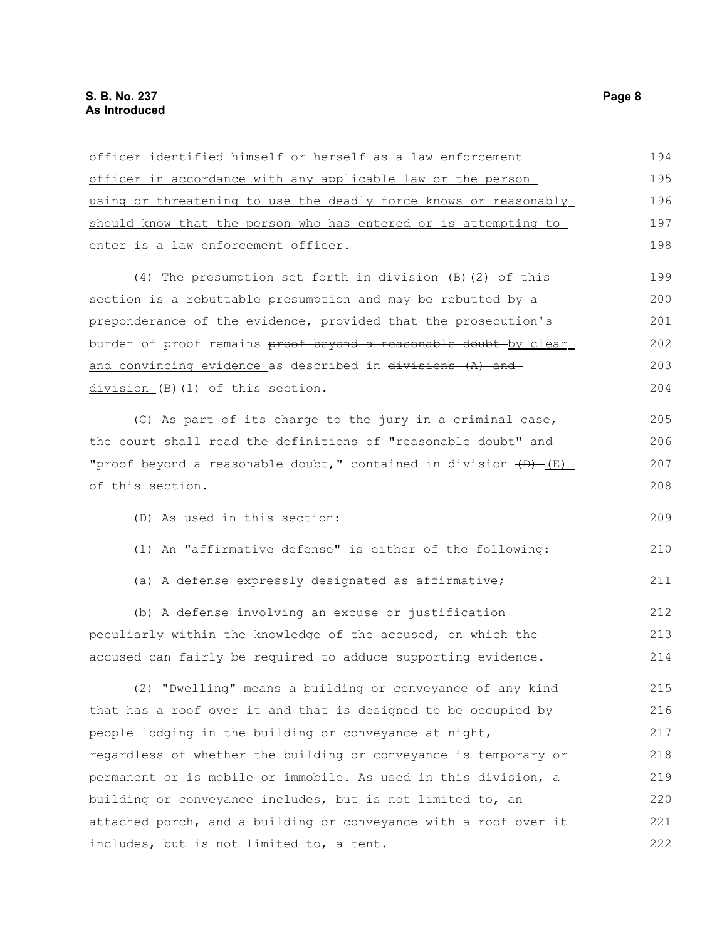| officer identified himself or herself as a law enforcement         | 194 |
|--------------------------------------------------------------------|-----|
| officer in accordance with any applicable law or the person        | 195 |
| using or threatening to use the deadly force knows or reasonably   | 196 |
| should know that the person who has entered or is attempting to    | 197 |
| enter is a law enforcement officer.                                | 198 |
| (4) The presumption set forth in division (B) (2) of this          | 199 |
| section is a rebuttable presumption and may be rebutted by a       | 200 |
| preponderance of the evidence, provided that the prosecution's     | 201 |
| burden of proof remains proof beyond a reasonable doubt by clear   | 202 |
| and convincing evidence as described in divisions (A) and          | 203 |
| division (B) (1) of this section.                                  | 204 |
| (C) As part of its charge to the jury in a criminal case,          | 205 |
| the court shall read the definitions of "reasonable doubt" and     | 206 |
| "proof beyond a reasonable doubt," contained in division $(D)$ (E) | 207 |
| of this section.                                                   | 208 |
| (D) As used in this section:                                       | 209 |
| (1) An "affirmative defense" is either of the following:           | 210 |
| (a) A defense expressly designated as affirmative;                 | 211 |
| (b) A defense involving an excuse or justification                 | 212 |
| peculiarly within the knowledge of the accused, on which the       | 213 |
| accused can fairly be required to adduce supporting evidence.      | 214 |
| (2) "Dwelling" means a building or conveyance of any kind          | 215 |
| that has a roof over it and that is designed to be occupied by     | 216 |
| people lodging in the building or conveyance at night,             | 217 |
| regardless of whether the building or conveyance is temporary or   | 218 |
| permanent or is mobile or immobile. As used in this division, a    | 219 |
| building or conveyance includes, but is not limited to, an         | 220 |
| attached porch, and a building or conveyance with a roof over it   | 221 |
| includes, but is not limited to, a tent.                           | 222 |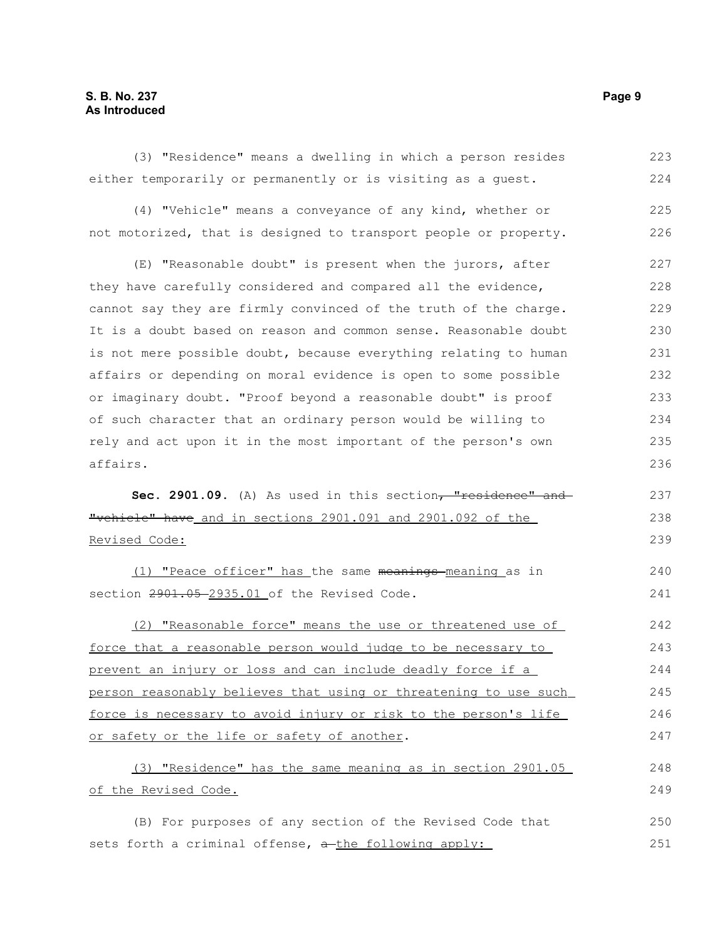#### **S. B. No. 237 Page 9 As Introduced**

of the Revised Code.

(3) "Residence" means a dwelling in which a person resides either temporarily or permanently or is visiting as a guest. (4) "Vehicle" means a conveyance of any kind, whether or not motorized, that is designed to transport people or property. (E) "Reasonable doubt" is present when the jurors, after they have carefully considered and compared all the evidence, cannot say they are firmly convinced of the truth of the charge. It is a doubt based on reason and common sense. Reasonable doubt is not mere possible doubt, because everything relating to human affairs or depending on moral evidence is open to some possible or imaginary doubt. "Proof beyond a reasonable doubt" is proof of such character that an ordinary person would be willing to rely and act upon it in the most important of the person's own affairs. Sec. 2901.09. (A) As used in this section<del>, "residence" and</del> "vehicle" have and in sections 2901.091 and 2901.092 of the Revised Code: (1) "Peace officer" has the same meanings-meaning as in section  $2901.05 - 2935.01$  of the Revised Code. (2) "Reasonable force" means the use or threatened use of force that a reasonable person would judge to be necessary to prevent an injury or loss and can include deadly force if a person reasonably believes that using or threatening to use such force is necessary to avoid injury or risk to the person's life or safety or the life or safety of another. (3) "Residence" has the same meaning as in section 2901.05 223 224 225 226 227 228 229 230 231 232 233 234 235 236 237 238 239  $240$ 241 242 243 244 245 246 247 248

(B) For purposes of any section of the Revised Code that sets forth a criminal offense,  $a$ -the following apply: 250 251

249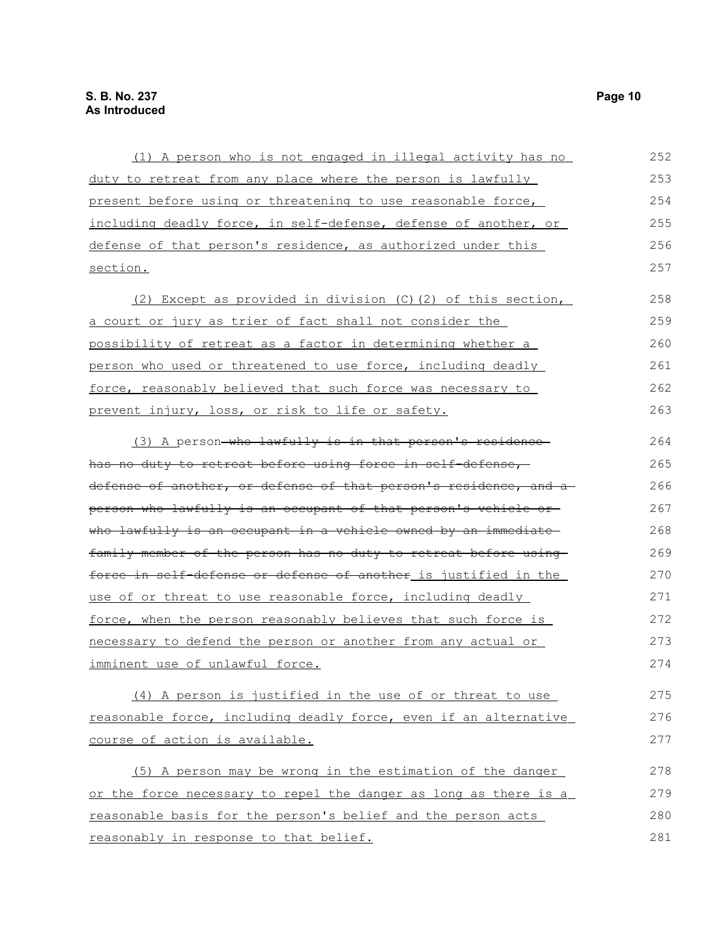| (1) A person who is not engaged in illegal activity has no       | 252 |
|------------------------------------------------------------------|-----|
| duty to retreat from any place where the person is lawfully      | 253 |
| present before using or threatening to use reasonable force,     | 254 |
| including deadly force, in self-defense, defense of another, or  | 255 |
| defense of that person's residence, as authorized under this     | 256 |
| section.                                                         | 257 |
| (2) Except as provided in division (C) (2) of this section,      | 258 |
| a court or jury as trier of fact shall not consider the          | 259 |
| possibility of retreat as a factor in determining whether a      | 260 |
| person who used or threatened to use force, including deadly     | 261 |
| force, reasonably believed that such force was necessary to      | 262 |
| prevent injury, loss, or risk to life or safety.                 | 263 |
| (3) A person-who lawfully is in that person's residence-         | 264 |
| has no duty to retreat before using force in self-defense,       | 265 |
| defense of another, or defense of that person's residence, and a | 266 |
| person who lawfully is an occupant of that person's vehicle or   | 267 |
| who lawfully is an occupant in a vehicle owned by an immediate   | 268 |
| family member of the person has no duty to retreat before using  | 269 |
| force in self-defense or defense of another is justified in the  | 270 |
| use of or threat to use reasonable force, including deadly       | 271 |
| force, when the person reasonably believes that such force is    | 272 |
| necessary to defend the person or another from any actual or     | 273 |
| imminent use of unlawful force.                                  | 274 |
| (4) A person is justified in the use of or threat to use         | 275 |
| reasonable force, including deadly force, even if an alternative | 276 |
| course of action is available.                                   | 277 |
| (5) A person may be wrong in the estimation of the danger        | 278 |
| or the force necessary to repel the danger as long as there is a | 279 |
| reasonable basis for the person's belief and the person acts     | 280 |
| reasonably in response to that belief.                           | 281 |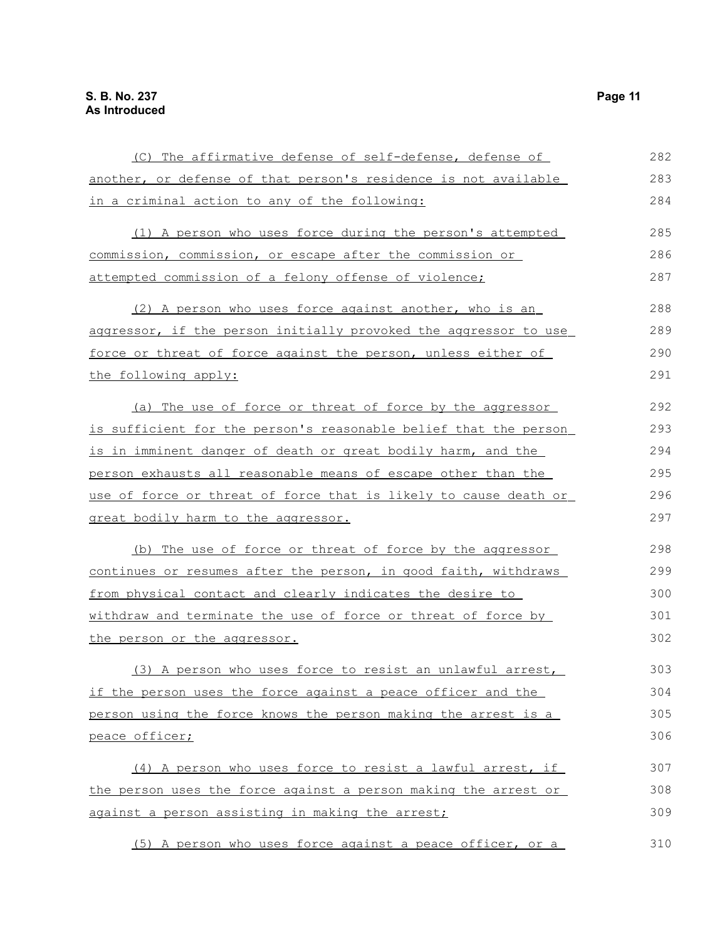| (C) The affirmative defense of self-defense, defense of          | 282 |
|------------------------------------------------------------------|-----|
| another, or defense of that person's residence is not available  | 283 |
| in a criminal action to any of the following:                    | 284 |
| (1) A person who uses force during the person's attempted        | 285 |
| commission, commission, or escape after the commission or        | 286 |
| attempted commission of a felony offense of violence;            | 287 |
| (2) A person who uses force against another, who is an           | 288 |
| aggressor, if the person initially provoked the aggressor to use | 289 |
| force or threat of force against the person, unless either of    | 290 |
| the following apply:                                             | 291 |
| (a) The use of force or threat of force by the aggressor         | 292 |
| is sufficient for the person's reasonable belief that the person | 293 |
| is in imminent danger of death or great bodily harm, and the     | 294 |
| person exhausts all reasonable means of escape other than the    | 295 |
| use of force or threat of force that is likely to cause death or | 296 |
| great bodily harm to the aggressor.                              | 297 |
| (b) The use of force or threat of force by the aggressor         | 298 |
| continues or resumes after the person, in good faith, withdraws  | 299 |
| from physical contact and clearly indicates the desire to        | 300 |
| withdraw and terminate the use of force or threat of force by    | 301 |
| the person or the aggressor.                                     | 302 |
| (3) A person who uses force to resist an unlawful arrest,        | 303 |
| if the person uses the force against a peace officer and the     | 304 |
| person using the force knows the person making the arrest is a   | 305 |
| peace officer;                                                   | 306 |
| (4) A person who uses force to resist a lawful arrest, if        | 307 |
| the person uses the force against a person making the arrest or  | 308 |
| against a person assisting in making the arrest;                 | 309 |

(5) A person who uses force against a peace officer, or a 310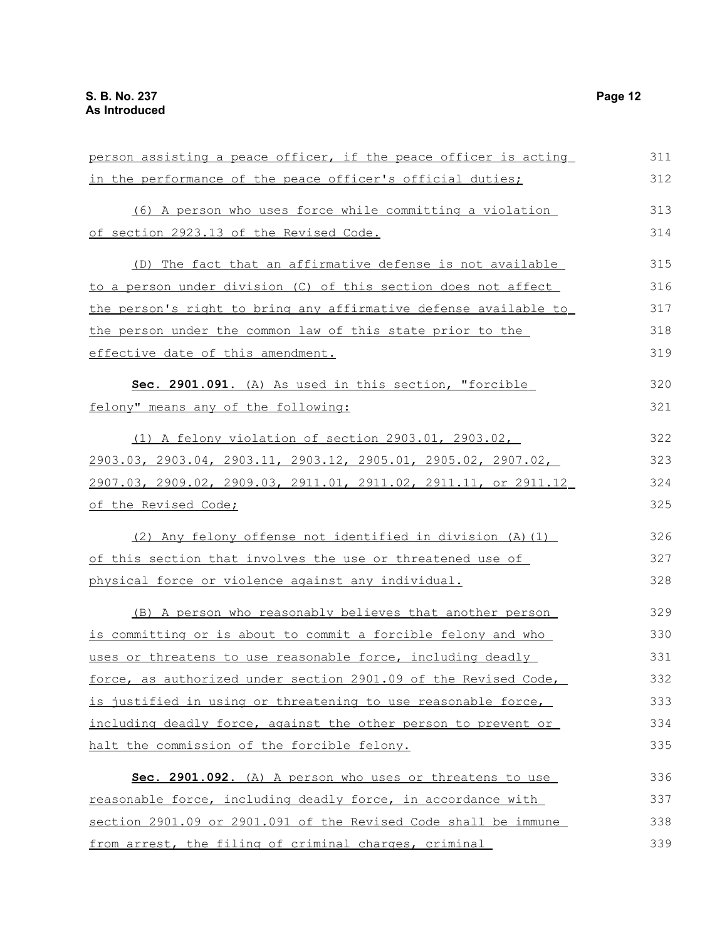| person assisting a peace officer, if the peace officer is acting                    | 311 |
|-------------------------------------------------------------------------------------|-----|
| in the performance of the peace officer's official duties;                          | 312 |
| (6) A person who uses force while committing a violation                            | 313 |
| of section 2923.13 of the Revised Code.                                             | 314 |
| (D) The fact that an affirmative defense is not available                           | 315 |
| to a person under division (C) of this section does not affect                      | 316 |
| the person's right to bring any affirmative defense available to                    | 317 |
| the person under the common law of this state prior to the                          | 318 |
| effective date of this amendment.                                                   | 319 |
| Sec. 2901.091. (A) As used in this section, "forcible                               | 320 |
| felony" means any of the following:                                                 | 321 |
| (1) A felony violation of section 2903.01, 2903.02,                                 | 322 |
| $2903.03$ , $2903.04$ , $2903.11$ , $2903.12$ , $2905.01$ , $2905.02$ , $2907.02$ , | 323 |
| 2907.03, 2909.02, 2909.03, 2911.01, 2911.02, 2911.11, or 2911.12                    | 324 |
| of the Revised Code;                                                                | 325 |
| (2) Any felony offense not identified in division (A) (1)                           | 326 |
| of this section that involves the use or threatened use of                          | 327 |
| physical force or violence against any individual.                                  | 328 |
| (B) A person who reasonably believes that another person                            | 329 |
| is committing or is about to commit a forcible felony and who                       | 330 |
| uses or threatens to use reasonable force, including deadly                         | 331 |
| force, as authorized under section 2901.09 of the Revised Code,                     | 332 |
| is justified in using or threatening to use reasonable force,                       | 333 |
| including deadly force, against the other person to prevent or                      | 334 |
| halt the commission of the forcible felony.                                         | 335 |
| Sec. 2901.092. (A) A person who uses or threatens to use                            | 336 |
| reasonable force, including deadly force, in accordance with                        | 337 |
| section 2901.09 or 2901.091 of the Revised Code shall be immune                     | 338 |
| from arrest, the filing of criminal charges, criminal                               | 339 |